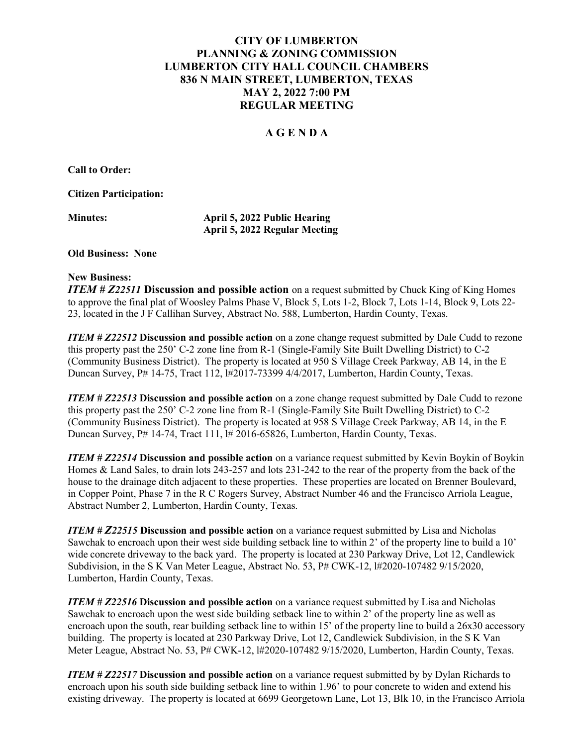# CITY OF LUMBERTON PLANNING & ZONING COMMISSION LUMBERTON CITY HALL COUNCIL CHAMBERS 836 N MAIN STREET, LUMBERTON, TEXAS MAY 2, 2022 7:00 PM REGULAR MEETING

## A G E N D A

Call to Order:

Citizen Participation:

April 5, 2022 Public Hearing April 5, 2022 Regular Meeting

#### Old Business: None

#### New Business:

**ITEM # Z22511 Discussion and possible action** on a request submitted by Chuck King of King Homes to approve the final plat of Woosley Palms Phase V, Block 5, Lots 1-2, Block 7, Lots 1-14, Block 9, Lots 22- 23, located in the J F Callihan Survey, Abstract No. 588, Lumberton, Hardin County, Texas.

ITEM # Z22512 Discussion and possible action on a zone change request submitted by Dale Cudd to rezone this property past the 250' C-2 zone line from R-1 (Single-Family Site Built Dwelling District) to C-2 (Community Business District). The property is located at 950 S Village Creek Parkway, AB 14, in the E Duncan Survey, P# 14-75, Tract 112, l#2017-73399 4/4/2017, Lumberton, Hardin County, Texas.

ITEM # Z22513 Discussion and possible action on a zone change request submitted by Dale Cudd to rezone this property past the 250' C-2 zone line from R-1 (Single-Family Site Built Dwelling District) to C-2 (Community Business District). The property is located at 958 S Village Creek Parkway, AB 14, in the E Duncan Survey, P# 14-74, Tract 111, l# 2016-65826, Lumberton, Hardin County, Texas.

ITEM # Z22514 Discussion and possible action on a variance request submitted by Kevin Boykin of Boykin Homes & Land Sales, to drain lots 243-257 and lots 231-242 to the rear of the property from the back of the house to the drainage ditch adjacent to these properties. These properties are located on Brenner Boulevard, in Copper Point, Phase 7 in the R C Rogers Survey, Abstract Number 46 and the Francisco Arriola League, Abstract Number 2, Lumberton, Hardin County, Texas.

**ITEM # Z22515 Discussion and possible action** on a variance request submitted by Lisa and Nicholas Sawchak to encroach upon their west side building setback line to within 2' of the property line to build a 10' wide concrete driveway to the back yard. The property is located at 230 Parkway Drive, Lot 12, Candlewick Subdivision, in the S K Van Meter League, Abstract No. 53, P# CWK-12, l#2020-107482 9/15/2020, Lumberton, Hardin County, Texas.

**ITEM # Z22516 Discussion and possible action** on a variance request submitted by Lisa and Nicholas Sawchak to encroach upon the west side building setback line to within 2' of the property line as well as encroach upon the south, rear building setback line to within 15' of the property line to build a 26x30 accessory building. The property is located at 230 Parkway Drive, Lot 12, Candlewick Subdivision, in the S K Van Meter League, Abstract No. 53, P# CWK-12, l#2020-107482 9/15/2020, Lumberton, Hardin County, Texas.

ITEM # Z22517 Discussion and possible action on a variance request submitted by by Dylan Richards to encroach upon his south side building setback line to within 1.96' to pour concrete to widen and extend his existing driveway. The property is located at 6699 Georgetown Lane, Lot 13, Blk 10, in the Francisco Arriola